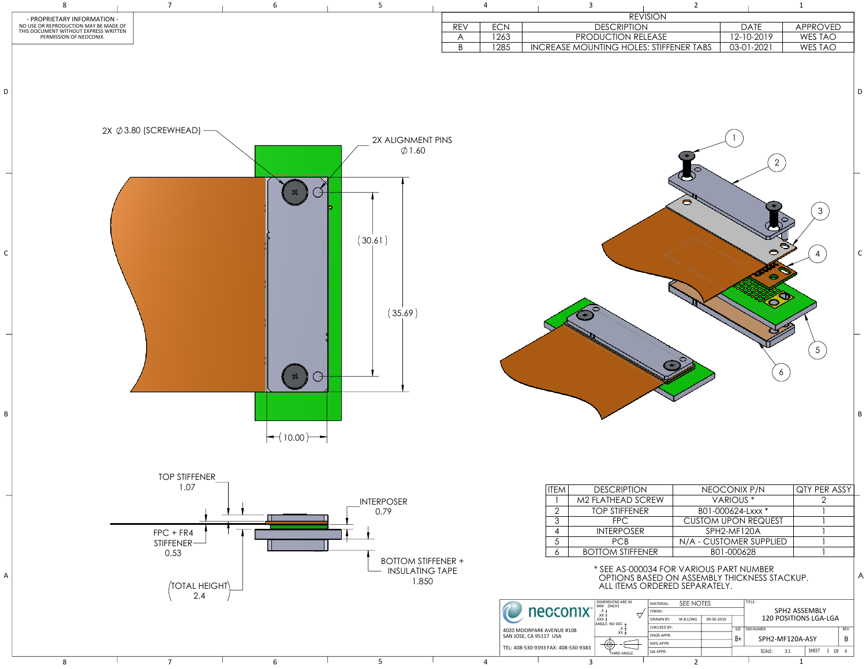|                                       | 3 |                                    | $\overline{2}$ |                                              | $\mathbf{1}$   |                |
|---------------------------------------|---|------------------------------------|----------------|----------------------------------------------|----------------|----------------|
|                                       |   | <b>REVISION</b>                    |                |                                              |                |                |
|                                       |   | <b>DESCRIPTION</b>                 |                | <b>DATE</b>                                  | APPROVED       |                |
|                                       |   | PRODUCTION RELEASE                 |                | 12-10-2019                                   | WES TAO        |                |
|                                       |   | ASE MOUNTING HOLES: STIFFENER TABS |                | 03-01-2021                                   | <b>WES TAO</b> |                |
|                                       |   |                                    |                |                                              |                |                |
|                                       |   |                                    |                |                                              |                |                |
|                                       |   |                                    |                |                                              |                |                |
|                                       |   |                                    |                |                                              |                | D              |
|                                       |   |                                    |                |                                              |                |                |
|                                       |   |                                    |                |                                              |                |                |
|                                       |   |                                    |                |                                              |                |                |
|                                       |   |                                    |                |                                              |                |                |
|                                       |   |                                    |                |                                              |                |                |
|                                       |   |                                    |                |                                              |                |                |
|                                       |   |                                    |                | $\overline{2}$                               |                |                |
|                                       |   |                                    |                |                                              |                |                |
|                                       |   |                                    |                |                                              |                |                |
|                                       |   |                                    |                |                                              |                |                |
|                                       |   |                                    |                |                                              |                |                |
|                                       |   |                                    |                |                                              | 3              |                |
|                                       |   |                                    |                |                                              |                |                |
|                                       |   |                                    |                |                                              |                |                |
|                                       |   |                                    |                |                                              |                |                |
|                                       |   |                                    |                |                                              | 4              | $\mathsf C$    |
|                                       |   |                                    |                |                                              |                |                |
|                                       |   |                                    |                |                                              |                |                |
|                                       |   |                                    |                |                                              |                |                |
|                                       |   |                                    |                |                                              |                |                |
|                                       |   |                                    |                |                                              |                |                |
|                                       |   |                                    |                |                                              |                |                |
|                                       |   |                                    |                |                                              |                |                |
|                                       |   |                                    |                |                                              |                |                |
|                                       |   |                                    |                |                                              |                |                |
|                                       |   |                                    |                |                                              | 5              |                |
|                                       |   |                                    |                |                                              |                |                |
|                                       |   |                                    |                |                                              |                |                |
|                                       |   |                                    |                | 6                                            |                |                |
|                                       |   |                                    |                |                                              |                |                |
|                                       |   |                                    |                |                                              |                |                |
|                                       |   |                                    |                |                                              |                |                |
|                                       |   |                                    |                |                                              |                | B              |
|                                       |   |                                    |                |                                              |                |                |
|                                       |   |                                    |                |                                              |                |                |
|                                       |   |                                    |                |                                              |                |                |
|                                       |   |                                    |                |                                              |                |                |
|                                       |   |                                    |                |                                              |                |                |
|                                       |   |                                    |                |                                              |                |                |
|                                       |   |                                    |                |                                              |                |                |
| EΜ                                    |   | <b>DESCRIPTION</b>                 |                | NEOCONIX P/N                                 | QTY PER ASSY   |                |
| $\begin{array}{c} \hline \end{array}$ |   | M2 FLATHEAD SCREW                  |                | VARIOUS <sup>*</sup>                         | $\overline{2}$ |                |
| $\frac{2}{3}$                         |   | <b>TOP STIFFENER</b>               |                | B01-000624-Lxxx *                            |                |                |
|                                       |   | <b>FPC</b>                         |                | <b>CUSTOM UPON REQUEST</b>                   |                |                |
|                                       |   | <b>INTERPOSER</b>                  |                | SPH2-MF120A                                  |                |                |
| $\frac{5}{6}$                         |   | <b>PCB</b>                         |                | N/A - CUSTOMER SUPPLIED                      |                |                |
|                                       |   | <b>BOTTOM STIFFENER</b>            |                | B01-000628                                   |                |                |
|                                       |   |                                    |                |                                              |                |                |
|                                       |   |                                    |                | * SEE AS-000034 FOR VARIOUS PART NUMBER      |                | $\overline{A}$ |
|                                       |   |                                    |                | OPTIONS BASED ON ASSEMBLY THICKNESS STACKUP. |                |                |
|                                       |   | ALL ITEMS ORDERED SEPARATELY.      |                |                                              |                |                |
|                                       |   |                                    |                |                                              |                |                |



|  | MATERIAL:        | SEE NOTES |            |             | TITLE:          |                              |               |              |            |    |   |
|--|------------------|-----------|------------|-------------|-----------------|------------------------------|---------------|--------------|------------|----|---|
|  | FINISH:          |           |            |             |                 |                              | SPH2 ASSEMBLY |              |            |    |   |
|  | <b>DRAWN BY:</b> | W.B.LONG  | 09-30-2019 |             |                 | <b>120 POSITIONS LGA-LGA</b> |               |              |            |    |   |
|  | CHECKED BY:      |           |            | <b>SIZE</b> | DWG NUMBER:     |                              |               |              | <b>REV</b> |    |   |
|  | <b>ENGRAPPR:</b> |           |            | B+          | SPH2-MF120A-ASY |                              |               |              |            | B  |   |
|  | MFG APPR:        |           |            |             |                 |                              |               |              |            |    |   |
|  | <b>QA APPR:</b>  |           |            |             |                 | SCALE:                       | 3:1           | <b>SHEET</b> | 1          | 0F | Δ |
|  | ◠                |           |            |             |                 |                              | л             |              |            |    |   |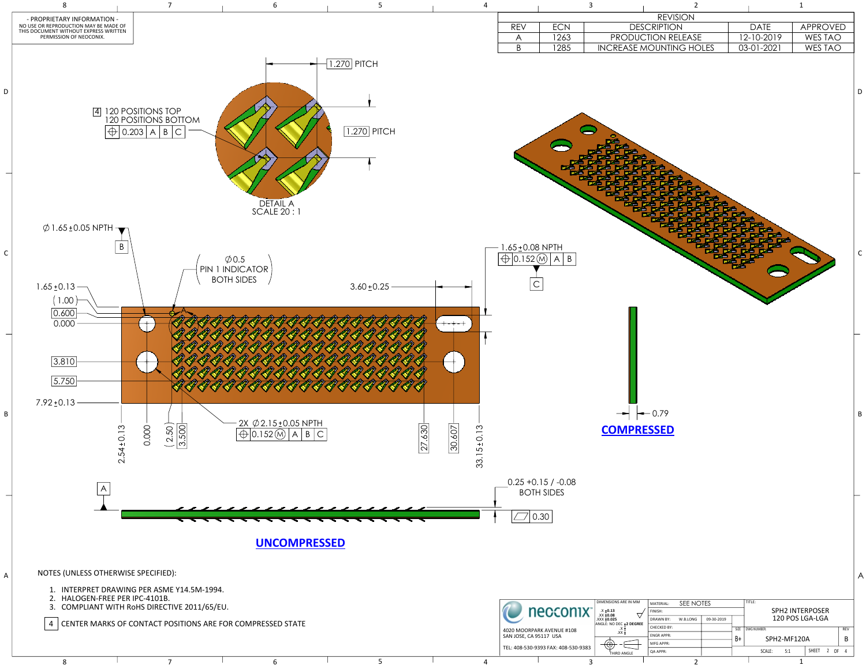|                              |                     | $\overline{\mathbf{3}}$        | $\overline{2}$ |              | $\mathbf 1$    |   |
|------------------------------|---------------------|--------------------------------|----------------|--------------|----------------|---|
|                              |                     | <b>REVISION</b>                |                |              |                |   |
| REV                          | ECN                 | <b>DESCRIPTION</b>             |                | <b>DATE</b>  | APPROVED       |   |
| $\bigwedge$                  | 1263                | PRODUCTION RELEASE             |                | 12-10-2019   | WES TAO        |   |
| $\overline{B}$               | 1285                | <b>INCREASE MOUNTING HOLES</b> |                | $03-01-2021$ | <b>WES TAO</b> |   |
|                              |                     |                                |                |              |                | D |
| $5 + 0.08$ NPTH<br>$0.152$ M | B<br>$\overline{A}$ |                                |                |              |                |   |
|                              |                     | $-0.79$                        |                |              |                | F |



|  | HALOGEN-FREE PER IPC-4101B.<br>COMPLIANT WITH RoHS DIRECTIVE 2011/65/EU. |  | necconix <sup>-</sup>                     | DIMENSIONS ARE IN MM<br>$X \pm 0.13$<br>XX $\pm 0.08$ | SEE NOTES<br>MATERIAL:                                | TITLE:                               | <b>SPH2 INTERPOSER</b>  |  |            |             |              |  |
|--|--------------------------------------------------------------------------|--|-------------------------------------------|-------------------------------------------------------|-------------------------------------------------------|--------------------------------------|-------------------------|--|------------|-------------|--------------|--|
|  | CENTER MARKS OF CONTACT POSITIONS ARE FOR COMPRESSED STATE               |  | $.XXX + 0.025$<br>ANGLE: NO DEC +2 DEGREE | W.B.LONG<br>l DRAWN BY:<br>CHECKED BY:                | 09-30-2019                                            | 120 POS LGA-LGA<br>SIZE   DWG NUMBER |                         |  | <b>REV</b> |             |              |  |
|  |                                                                          |  |                                           |                                                       | 4020 MOORPARK AVENUE #108<br>  SAN JOSE, CA 95117 USA | $\mathsf{XXX}$ +                     | ENGR APPR:<br>MFG APPR: |  |            | SPH2-MF120A |              |  |
|  |                                                                          |  |                                           |                                                       | TEL: 408-530-9393 FAX: 408-530-9383                   | THIRD ANGLE                          | QA APPR:                |  | SCALE:     |             | SHEET 2 OF 4 |  |
|  |                                                                          |  |                                           |                                                       |                                                       |                                      |                         |  |            |             |              |  |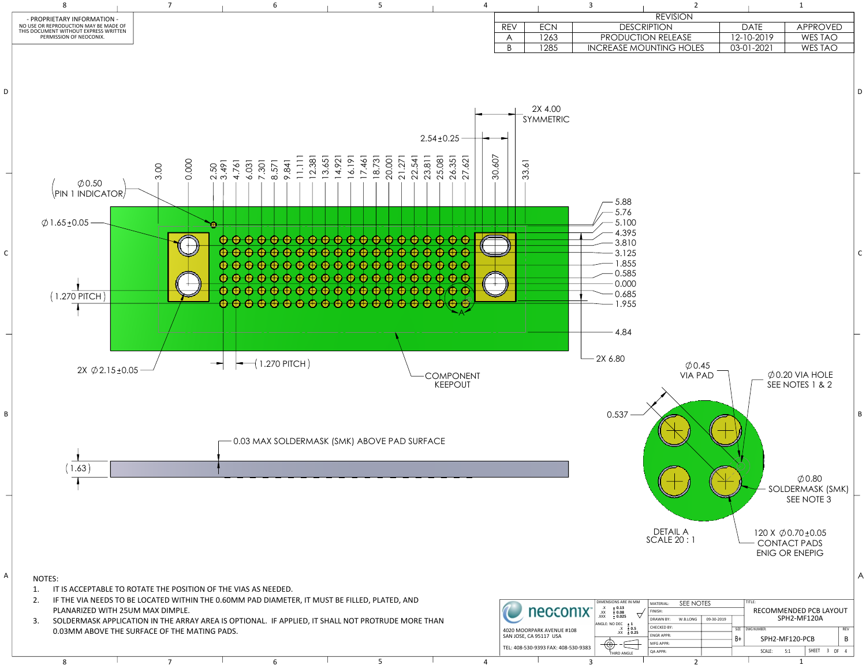|                |                                                     | $\overline{3}$ |                                                                                               | $\overline{2}$                       |            |      |             | $\mathbf 1$                                                                                        |              |                |
|----------------|-----------------------------------------------------|----------------|-----------------------------------------------------------------------------------------------|--------------------------------------|------------|------|-------------|----------------------------------------------------------------------------------------------------|--------------|----------------|
|                |                                                     |                |                                                                                               | <b>REVISION</b>                      |            |      |             |                                                                                                    |              |                |
| <b>REV</b>     | <b>ECN</b>                                          |                | <b>DESCRIPTION</b>                                                                            |                                      |            |      | <b>DATE</b> | <b>APPROVED</b>                                                                                    |              |                |
| A              | 1263                                                |                | PRODUCTION RELEASE                                                                            |                                      |            |      | 12-10-2019  | WES TAO                                                                                            |              |                |
| $\overline{B}$ | 1285                                                |                | <b>INCREASE MOUNTING HOLES</b>                                                                |                                      |            |      | 03-01-2021  | <b>WES TAO</b>                                                                                     |              |                |
|                | 2X 4.00<br>SYMMETRIC<br>33.61                       |                |                                                                                               |                                      |            |      |             |                                                                                                    |              | D              |
|                |                                                     |                | 5.88<br>5.76<br>5.100<br>4.395<br>3.810<br>3.125<br>1.855<br>0.585<br>0.000<br>0.685<br>1.955 |                                      |            |      |             |                                                                                                    |              | $\mathsf{C}$   |
|                |                                                     |                |                                                                                               |                                      |            |      |             |                                                                                                    |              |                |
|                |                                                     |                | 4.84                                                                                          |                                      |            |      |             |                                                                                                    |              |                |
|                |                                                     |                | 2X 6.80<br>0.537                                                                              | $\varphi$ 0.45<br><b>VIA PAD</b>     |            |      |             | $\emptyset$ 0.20 VIA HOLE<br>SEE NOTES 1 & 2<br>$\emptyset$ 0.80<br>SOLDERMASK (SMK)<br>SEE NOTE 3 |              | B              |
|                |                                                     |                |                                                                                               | <b>DETAIL A</b><br><b>SCALE 20:1</b> |            |      |             | 120 X $\emptyset$ 0.70 ± 0.05<br><b>CONTACT PADS</b><br><b>ENIG OR ENEPIG</b>                      |              | $\overline{ }$ |
|                | necconix <sup>-</sup>                               |                | DIMENSIONS ARE IN MM<br>Х.<br>± 0.13<br>XX<br>± 0.08                                          | SEE NOTES<br>MATERIAL:<br>FINISH:    |            |      | TITLE:      | RECOMMENDED PCB LAYOUT                                                                             |              |                |
|                |                                                     |                | XXX.<br>± 0.025<br>ANGLE: NO DEC $\pm 1$                                                      | DRAWN BY:<br>W.B.LONG                | 09-30-2019 |      |             | SPH2-MF120A                                                                                        |              |                |
|                | 4020 MOORPARK AVENUE #108<br>SAN JOSE, CA 95117 USA |                | $X \pm 0.5$<br>$.XX \pm 0.25$                                                                 | CHECKED BY:<br>ENGR APPR:            |            | SIZE | DWG NUMBER: |                                                                                                    | REV          |                |
|                | TEL: 408-530-9393 FAX: 408-530-9383                 |                | ⊕                                                                                             | MFG APPR:                            |            | B+   |             | SPH2-MF120-PCB                                                                                     | B            |                |
|                |                                                     |                | THIRD ANGLE                                                                                   | QA APPR:                             |            |      | SCALE:      | 5:1                                                                                                | SHEET 3 OF 4 |                |

RD ANGLE